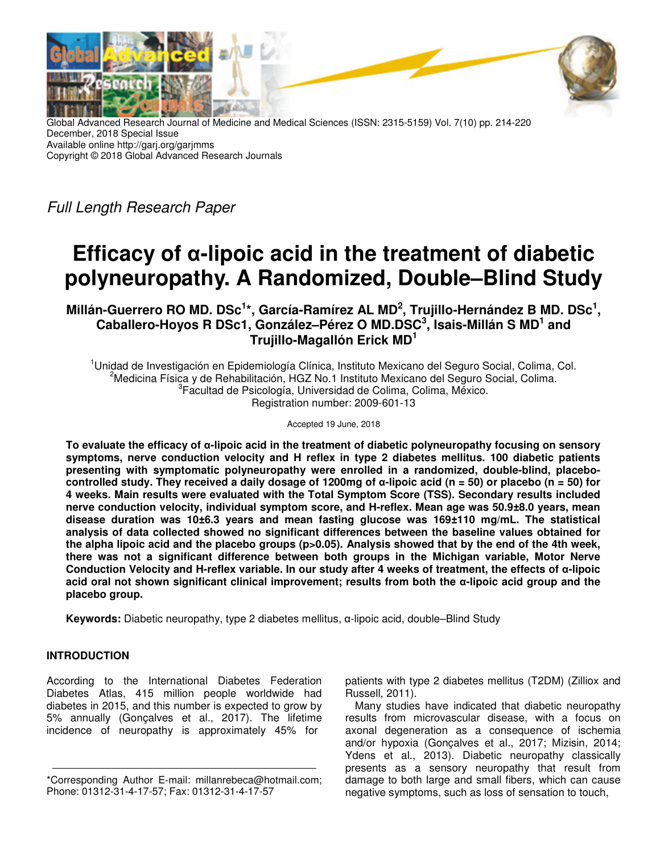

Global Advanced Research Journal of Medicine and Medical Sciences (ISSN: 2315-5159) Vol. 7(10) pp. 214-220 December, 2018 Special Issue Available online http://garj.org/garjmms Copyright © 2018 Global Advanced Research Journals

Full Length Research Paper

# **Efficacy of α-lipoic acid in the treatment of diabetic polyneuropathy. A Randomized, Double–Blind Study**

**Millán-Guerrero RO MD. DSc<sup>1</sup> \*, García-Ramírez AL MD<sup>2</sup> , Trujillo-Hernández B MD. DSc<sup>1</sup> , Caballero-Hoyos R DSc1, González–Pérez O MD.DSC<sup>3</sup> , Isais-Millán S MD<sup>1</sup> and Trujillo-Magallón Erick MD<sup>1</sup>**

<sup>1</sup>Unidad de Investigación en Epidemiología Clínica, Instituto Mexicano del Seguro Social, Colima, Col. <sup>2</sup>Medicina Física y de Rehabilitación, HGZ No.1 Instituto Mexicano del Seguro Social, Colima. <sup>3</sup> Facultad de Psicología, Universidad de Colima, Colima, México. Registration number: 2009-601-13

Accepted 19 June, 2018

**To evaluate the efficacy of α-lipoic acid in the treatment of diabetic polyneuropathy focusing on sensory symptoms, nerve conduction velocity and H reflex in type 2 diabetes mellitus. 100 diabetic patients presenting with symptomatic polyneuropathy were enrolled in a randomized, double-blind, placebocontrolled study. They received a daily dosage of 1200mg of α-lipoic acid (n = 50) or placebo (n = 50) for 4 weeks. Main results were evaluated with the Total Symptom Score (TSS). Secondary results included nerve conduction velocity, individual symptom score, and H-reflex. Mean age was 50.9±8.0 years, mean disease duration was 10±6.3 years and mean fasting glucose was 169±110 mg/mL. The statistical analysis of data collected showed no significant differences between the baseline values obtained for the alpha lipoic acid and the placebo groups (p>0.05). Analysis showed that by the end of the 4th week, there was not a significant difference between both groups in the Michigan variable, Motor Nerve Conduction Velocity and H-reflex variable. In our study after 4 weeks of treatment, the effects of α-lipoic acid oral not shown significant clinical improvement; results from both the α-lipoic acid group and the placebo group.** 

**Keywords:** Diabetic neuropathy, type 2 diabetes mellitus, α-lipoic acid, double–Blind Study

## **INTRODUCTION**

According to the International Diabetes Federation Diabetes Atlas, 415 million people worldwide had diabetes in 2015, and this number is expected to grow by 5% annually (Gonçalves et al., 2017). The lifetime incidence of neuropathy is approximately 45% for

patients with type 2 diabetes mellitus (T2DM) (Zilliox and Russell, 2011).

Many studies have indicated that diabetic neuropathy results from microvascular disease, with a focus on axonal degeneration as a consequence of ischemia and/or hypoxia (Gonçalves et al., 2017; Mizisin, 2014; Ydens et al., 2013). Diabetic neuropathy classically presents as a sensory neuropathy that result from damage to both large and small fibers, which can cause negative symptoms, such as loss of sensation to touch,

<sup>\*</sup>Corresponding Author E-mail: millanrebeca@hotmail.com; Phone: 01312-31-4-17-57; Fax: 01312-31-4-17-57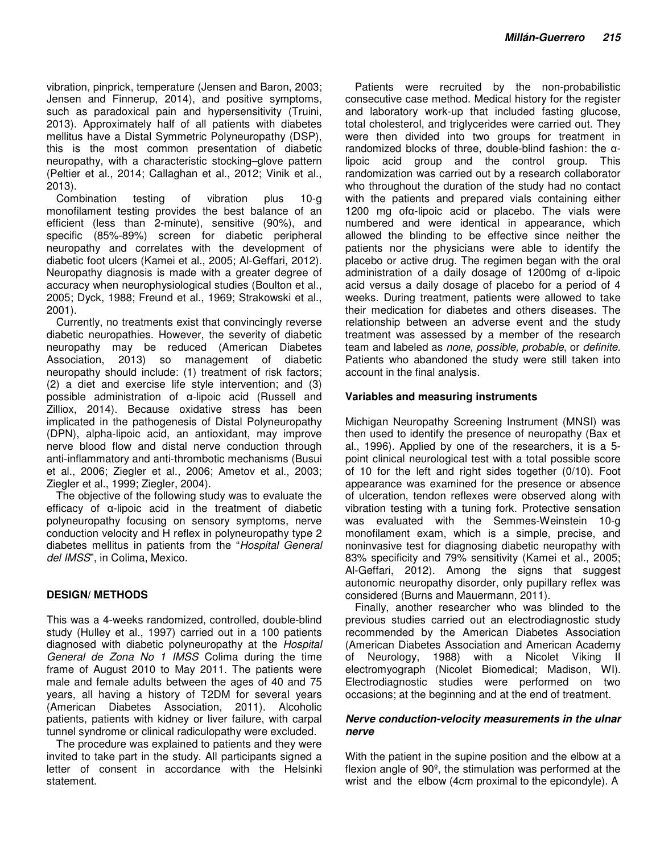vibration, pinprick, temperature (Jensen and Baron, 2003; Jensen and Finnerup, 2014), and positive symptoms, such as paradoxical pain and hypersensitivity (Truini, 2013). Approximately half of all patients with diabetes mellitus have a Distal Symmetric Polyneuropathy (DSP), this is the most common presentation of diabetic neuropathy, with a characteristic stocking–glove pattern (Peltier et al., 2014; Callaghan et al., 2012; Vinik et al., 2013).

Combination testing of vibration plus 10-g monofilament testing provides the best balance of an efficient (less than 2-minute), sensitive (90%), and specific (85%-89%) screen for diabetic peripheral neuropathy and correlates with the development of diabetic foot ulcers (Kamei et al., 2005; Al-Geffari, 2012). Neuropathy diagnosis is made with a greater degree of accuracy when neurophysiological studies (Boulton et al., 2005; Dyck, 1988; Freund et al., 1969; Strakowski et al., 2001).

Currently, no treatments exist that convincingly reverse diabetic neuropathies. However, the severity of diabetic neuropathy may be reduced (American Diabetes Association, 2013) so management of diabetic neuropathy should include: (1) treatment of risk factors; (2) a diet and exercise life style intervention; and (3) possible administration of α-lipoic acid (Russell and Zilliox, 2014). Because oxidative stress has been implicated in the pathogenesis of Distal Polyneuropathy (DPN), alpha-lipoic acid, an antioxidant, may improve nerve blood flow and distal nerve conduction through anti-inflammatory and anti-thrombotic mechanisms (Busui et al., 2006; Ziegler et al., 2006; Ametov et al., 2003; Ziegler et al., 1999; Ziegler, 2004).

The objective of the following study was to evaluate the efficacy of α-lipoic acid in the treatment of diabetic polyneuropathy focusing on sensory symptoms, nerve conduction velocity and H reflex in polyneuropathy type 2 diabetes mellitus in patients from the "Hospital General del IMSS", in Colima, Mexico.

#### **DESIGN/ METHODS**

This was a 4-weeks randomized, controlled, double-blind study (Hulley et al., 1997) carried out in a 100 patients diagnosed with diabetic polyneuropathy at the Hospital General de Zona No 1 IMSS Colima during the time frame of August 2010 to May 2011. The patients were male and female adults between the ages of 40 and 75 years, all having a history of T2DM for several years (American Diabetes Association, 2011). Alcoholic patients, patients with kidney or liver failure, with carpal tunnel syndrome or clinical radiculopathy were excluded.

The procedure was explained to patients and they were invited to take part in the study. All participants signed a letter of consent in accordance with the Helsinki statement.

Patients were recruited by the non-probabilistic consecutive case method. Medical history for the register and laboratory work-up that included fasting glucose, total cholesterol, and triglycerides were carried out. They were then divided into two groups for treatment in randomized blocks of three, double-blind fashion: the αlipoic acid group and the control group. This randomization was carried out by a research collaborator who throughout the duration of the study had no contact with the patients and prepared vials containing either 1200 mg ofα-lipoic acid or placebo. The vials were numbered and were identical in appearance, which allowed the blinding to be effective since neither the patients nor the physicians were able to identify the placebo or active drug. The regimen began with the oral administration of a daily dosage of 1200mg of α-lipoic acid versus a daily dosage of placebo for a period of 4 weeks. During treatment, patients were allowed to take their medication for diabetes and others diseases. The relationship between an adverse event and the study treatment was assessed by a member of the research team and labeled as none, possible, probable, or definite. Patients who abandoned the study were still taken into account in the final analysis.

#### **Variables and measuring instruments**

Michigan Neuropathy Screening Instrument (MNSI) was then used to identify the presence of neuropathy (Bax et al., 1996). Applied by one of the researchers, it is a 5 point clinical neurological test with a total possible score of 10 for the left and right sides together (0/10). Foot appearance was examined for the presence or absence of ulceration, tendon reflexes were observed along with vibration testing with a tuning fork. Protective sensation was evaluated with the Semmes-Weinstein 10-g monofilament exam, which is a simple, precise, and noninvasive test for diagnosing diabetic neuropathy with 83% specificity and 79% sensitivity (Kamei et al., 2005; Al-Geffari, 2012). Among the signs that suggest autonomic neuropathy disorder, only pupillary reflex was considered (Burns and Mauermann, 2011).

Finally, another researcher who was blinded to the previous studies carried out an electrodiagnostic study recommended by the American Diabetes Association (American Diabetes Association and American Academy of Neurology, 1988) with a Nicolet Viking II electromyograph (Nicolet Biomedical; Madison, WI). Electrodiagnostic studies were performed on two occasions; at the beginning and at the end of treatment.

#### **Nerve conduction-velocity measurements in the ulnar nerve**

With the patient in the supine position and the elbow at a flexion angle of 90º, the stimulation was performed at the wrist and the elbow (4cm proximal to the epicondyle). A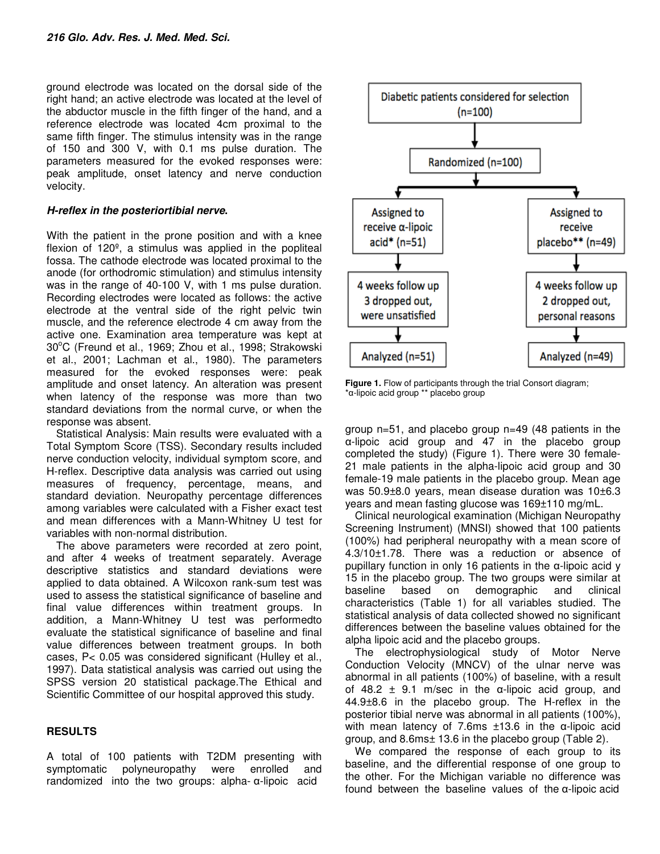ground electrode was located on the dorsal side of the right hand; an active electrode was located at the level of the abductor muscle in the fifth finger of the hand, and a reference electrode was located 4cm proximal to the same fifth finger. The stimulus intensity was in the range of 150 and 300 V, with 0.1 ms pulse duration. The parameters measured for the evoked responses were: peak amplitude, onset latency and nerve conduction velocity.

### **H-reflex in the posteriortibial nerve.**

With the patient in the prone position and with a knee flexion of  $120<sup>°</sup>$ , a stimulus was applied in the popliteal fossa. The cathode electrode was located proximal to the anode (for orthodromic stimulation) and stimulus intensity was in the range of 40-100 V, with 1 ms pulse duration. Recording electrodes were located as follows: the active electrode at the ventral side of the right pelvic twin muscle, and the reference electrode 4 cm away from the active one. Examination area temperature was kept at 30°C (Freund et al., 1969; Zhou et al., 1998; Strakowski et al., 2001; Lachman et al., 1980). The parameters measured for the evoked responses were: peak amplitude and onset latency. An alteration was present when latency of the response was more than two standard deviations from the normal curve, or when the response was absent.

Statistical Analysis: Main results were evaluated with a Total Symptom Score (TSS). Secondary results included nerve conduction velocity, individual symptom score, and H-reflex. Descriptive data analysis was carried out using measures of frequency, percentage, means, and standard deviation. Neuropathy percentage differences among variables were calculated with a Fisher exact test and mean differences with a Mann-Whitney U test for variables with non-normal distribution.

The above parameters were recorded at zero point, and after 4 weeks of treatment separately. Average descriptive statistics and standard deviations were applied to data obtained. A Wilcoxon rank-sum test was used to assess the statistical significance of baseline and final value differences within treatment groups. In addition, a Mann-Whitney U test was performedto evaluate the statistical significance of baseline and final value differences between treatment groups. In both cases, P< 0.05 was considered significant (Hulley et al., 1997). Data statistical analysis was carried out using the SPSS version 20 statistical package.The Ethical and Scientific Committee of our hospital approved this study.

## **RESULTS**

A total of 100 patients with T2DM presenting with symptomatic polyneuropathy were enrolled and randomized into the two groups: alpha- α-lipoic acid



**Figure 1.** Flow of participants through the trial Consort diagram; \*α-lipoic acid group \*\* placebo group

group n=51, and placebo group n=49 (48 patients in the α-lipoic acid group and 47 in the placebo group completed the study) (Figure 1). There were 30 female-21 male patients in the alpha-lipoic acid group and 30 female-19 male patients in the placebo group. Mean age was 50.9±8.0 years, mean disease duration was 10±6.3 years and mean fasting glucose was 169±110 mg/mL.

Clinical neurological examination (Michigan Neuropathy Screening Instrument) (MNSI) showed that 100 patients (100%) had peripheral neuropathy with a mean score of 4.3/10±1.78. There was a reduction or absence of pupillary function in only 16 patients in the α-lipoic acid y 15 in the placebo group. The two groups were similar at baseline based on demographic and clinical characteristics (Table 1) for all variables studied. The statistical analysis of data collected showed no significant differences between the baseline values obtained for the alpha lipoic acid and the placebo groups.

The electrophysiological study of Motor Nerve Conduction Velocity (MNCV) of the ulnar nerve was abnormal in all patients (100%) of baseline, with a result of 48.2  $\pm$  9.1 m/sec in the  $\alpha$ -lipoic acid group, and 44.9±8.6 in the placebo group. The H-reflex in the posterior tibial nerve was abnormal in all patients (100%), with mean latency of 7.6ms ±13.6 in the α-lipoic acid group, and 8.6ms± 13.6 in the placebo group (Table 2).

We compared the response of each group to its baseline, and the differential response of one group to the other. For the Michigan variable no difference was found between the baseline values of the α-lipoic acid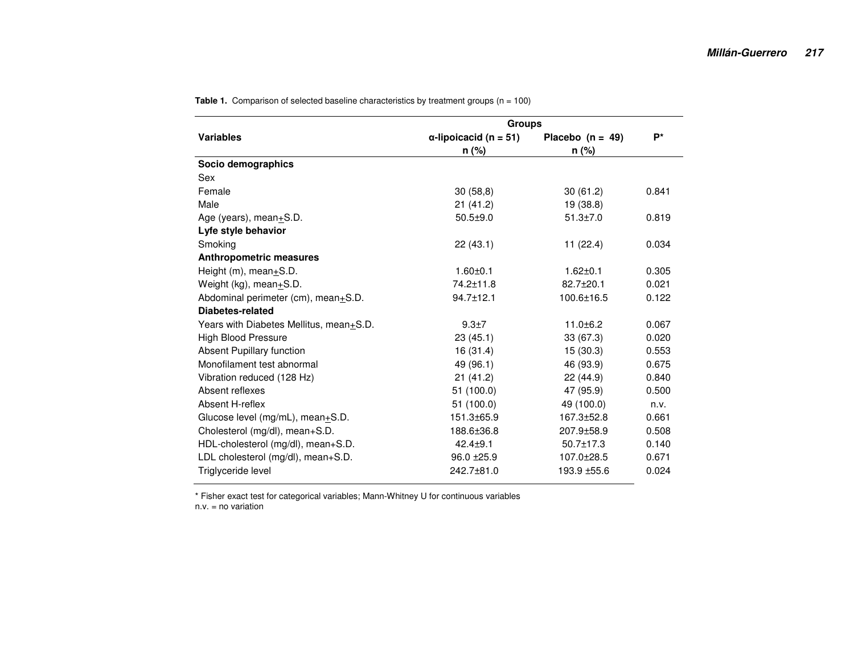| <b>Variables</b>                        | <b>Groups</b>                 |                    |       |  |  |  |
|-----------------------------------------|-------------------------------|--------------------|-------|--|--|--|
|                                         | $\alpha$ -lipoicacid (n = 51) | Placebo $(n = 49)$ | $P^*$ |  |  |  |
|                                         | $n$ (%)                       | n (%)              |       |  |  |  |
| Socio demographics                      |                               |                    |       |  |  |  |
| Sex                                     |                               |                    |       |  |  |  |
| Female                                  | 30(58,8)                      | 30(61.2)           | 0.841 |  |  |  |
| Male                                    | 21(41.2)                      | 19 (38.8)          |       |  |  |  |
| Age (years), mean+S.D.                  | $50.5 + 9.0$                  | $51.3 \pm 7.0$     | 0.819 |  |  |  |
| Lyfe style behavior                     |                               |                    |       |  |  |  |
| Smoking                                 | 22(43.1)                      | 11(22.4)           | 0.034 |  |  |  |
| <b>Anthropometric measures</b>          |                               |                    |       |  |  |  |
| Height (m), mean+S.D.                   | $1.60 + 0.1$                  | $1.62 \pm 0.1$     | 0.305 |  |  |  |
| Weight (kg), mean+S.D.                  | 74.2±11.8                     | $82.7 + 20.1$      | 0.021 |  |  |  |
| Abdominal perimeter (cm), mean+S.D.     | 94.7±12.1                     | 100.6±16.5         | 0.122 |  |  |  |
| Diabetes-related                        |                               |                    |       |  |  |  |
| Years with Diabetes Mellitus, mean+S.D. | $9.3 \pm 7$                   | $11.0 + 6.2$       | 0.067 |  |  |  |
| <b>High Blood Pressure</b>              | 23(45.1)                      | 33(67.3)           | 0.020 |  |  |  |
| <b>Absent Pupillary function</b>        | 16(31.4)                      | 15(30.3)           | 0.553 |  |  |  |
| Monofilament test abnormal              | 49 (96.1)                     | 46 (93.9)          | 0.675 |  |  |  |
| Vibration reduced (128 Hz)              | 21(41.2)                      | 22 (44.9)          | 0.840 |  |  |  |
| Absent reflexes                         | 51(100.0)                     | 47 (95.9)          | 0.500 |  |  |  |
| Absent H-reflex                         | 51 (100.0)                    | 49 (100.0)         | n.v.  |  |  |  |
| Glucose level (mg/mL), mean+S.D.        | 151.3±65.9                    | 167.3±52.8         | 0.661 |  |  |  |
| Cholesterol (mg/dl), mean+S.D.          | 188.6±36.8                    | 207.9±58.9         | 0.508 |  |  |  |
| HDL-cholesterol (mg/dl), mean+S.D.      | $42.4 + 9.1$                  | $50.7 \pm 17.3$    | 0.140 |  |  |  |
| LDL cholesterol (mg/dl), mean+S.D.      | $96.0 \pm 25.9$               | 107.0±28.5         | 0.671 |  |  |  |
| Triglyceride level                      | 242.7±81.0                    | 193.9 ± 55.6       | 0.024 |  |  |  |
|                                         |                               |                    |       |  |  |  |

**Table 1.** Comparison of selected baseline characteristics by treatment groups (n = 100)

\* Fisher exact test for categorical variables; Mann-Whitney U for continuous variables n.v. = no variation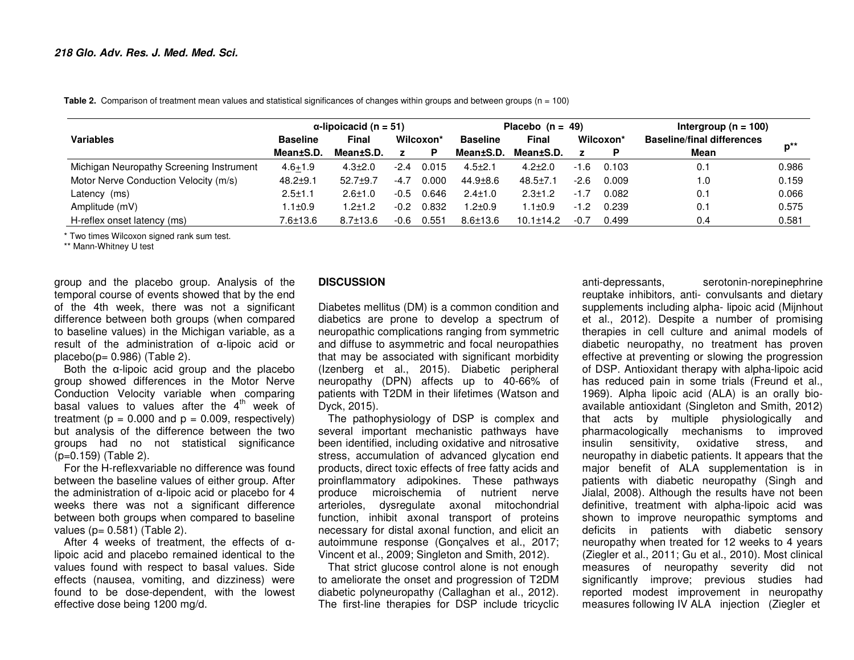**Table 2.** Comparison of treatment mean values and statistical significances of changes within groups and between groups (n = 100)

|                                          | $\alpha$ -lipoicacid (n = 51) |                |           | Placebo $(n = 49)$ |                 |                 | Intergroup ( $n = 100$ ) |           |                                   |          |
|------------------------------------------|-------------------------------|----------------|-----------|--------------------|-----------------|-----------------|--------------------------|-----------|-----------------------------------|----------|
| <b>Variables</b>                         | <b>Baseline</b>               | <b>Final</b>   | Wilcoxon* |                    | <b>Baseline</b> | Final           |                          | Wilcoxon* | <b>Baseline/final differences</b> | $p^{**}$ |
|                                          | Mean±S.D.                     | Mean±S.D.      |           | P.                 | Mean±S.D.       | Mean±S.D.       |                          |           | Mean                              |          |
| Michigan Neuropathy Screening Instrument | $4.6 + 1.9$                   | $4.3 \pm 2.0$  | $-2.4$    | 0.015              | $4.5 \pm 2.1$   | $4.2 + 2.0$     | $-1.6$                   | 0.103     | 0.1                               | 0.986    |
| Motor Nerve Conduction Velocity (m/s)    | $48.2 + 9.1$                  | $52.7 \pm 9.7$ | $-4.7$    | 0.000              | $44.9 \pm 8.6$  | $48.5 \pm 7.1$  | $-2.6$                   | 0.009     | 1.0                               | 0.159    |
| Latency (ms)                             | $2.5 + 1.1$                   | $2.6 + 1.0$    | $-0.5$    | 0.646              | $2.4 \pm 1.0$   | $2.3 + 1.2$     | $-1.7$                   | 0.082     | 0.1                               | 0.066    |
| Amplitude (mV)                           | $1.1 \pm 0.9$                 | $1.2 + 1.2$    | $-0.2$    | 0.832              | $.2 + 0.9$      | $.1 \pm 0.9$    | $-1.2$                   | 0.239     | 0.1                               | 0.575    |
| H-reflex onset latency (ms)              | 7.6±13.6                      | $8.7 \pm 13.6$ | $-0.6$    | 0.551              | $8.6 \pm 13.6$  | $10.1 \pm 14.2$ | $-0.7$                   | 0.499     | 0.4                               | 0.581    |

\* Two times Wilcoxon signed rank sum test.

\*\* Mann-Whitney U test

group and the placebo group. Analysis of the temporal course of events showed that by the end of the 4th week, there was not a significant difference between both groups (when compared to baseline values) in the Michigan variable, as a result of the administration of α-lipoic acid or  $placebo(p = 0.986)$  (Table 2).

 Both the α-lipoic acid group and the placebo group showed differences in the Motor Nerve Conduction Velocity variable when comparing basal values to values after the  $4^{\text{th}}$  week of treatment ( $p = 0.000$  and  $p = 0.009$ , respectively) but analysis of the difference between the two groups had no not statistical significance (p=0.159) (Table 2).

 For the H-reflexvariable no difference was found between the baseline values of either group. After the administration of α-lipoic acid or placebo for 4 weeks there was not a significant difference between both groups when compared to baseline values ( $p = 0.581$ ) (Table 2).

 After 4 weeks of treatment, the effects of <sup>α</sup> lipoic acid and placebo remained identical to the values found with respect to basal values. Side effects (nausea, vomiting, and dizziness) were found to be dose-dependent, with the lowest effective dose being 1200 mg/d.

#### **DISCUSSION**

Diabetes mellitus (DM) is a common condition and diabetics are prone to develop a spectrum of neuropathic complications ranging from symmetric and diffuse to asymmetric and focal neuropathies that may be associated with significant morbidity (Izenberg et al., 2015). Diabetic peripheral neuropathy (DPN) affects up to 40-66% of patients with T2DM in their lifetimes (Watson and Dyck, 2015).

 The pathophysiology of DSP is complex and several important mechanistic pathways have been identified, including oxidative and nitrosative stress, accumulation of advanced glycation end products, direct toxic effects of free fatty acids and proinflammatory adipokines. These pathways produce microischemia of nutrient nerve arterioles, dysregulate axonal mitochondrial function, inhibit axonal transport of proteins necessary for distal axonal function, and elicit an autoimmune response (Gonçalves et al., 2017; Vincent et al., 2009; Singleton and Smith, 2012).

 That strict glucose control alone is not enough to ameliorate the onset and progression of T2DM diabetic polyneuropathy (Callaghan et al., 2012). The first-line therapies for DSP include tricyclic

anti-depressants, serotonin-norepinephrine reuptake inhibitors, anti- convulsants and dietary supplements including alpha- lipoic acid (Mijnhout et al., 2012). Despite a number of promising therapies in cell culture and animal models of diabetic neuropathy, no treatment has proven effective at preventing or slowing the progression of DSP. Antioxidant therapy with alpha-lipoic acid has reduced pain in some trials (Freund et al., 1969). Alpha lipoic acid (ALA) is an orally bioavailable antioxidant (Singleton and Smith, 2012) that acts by multiple physiologically and pharmacologically mechanisms to improved insulin sensitivity, oxidative stress, and neuropathy in diabetic patients. It appears that the major benefit of ALA supplementation is in patients with diabetic neuropathy (Singh and Jialal, 2008). Although the results have not been definitive, treatment with alpha-lipoic acid was shown to improve neuropathic symptoms and deficits in patients with diabetic sensory neuropathy when treated for 12 weeks to 4 years (Ziegler et al., 2011; Gu et al., 2010). Most clinical measures of neuropathy severity did not significantly improve; previous studies had reported modest improvement in neuropathy measures following IV ALA injection (Ziegler et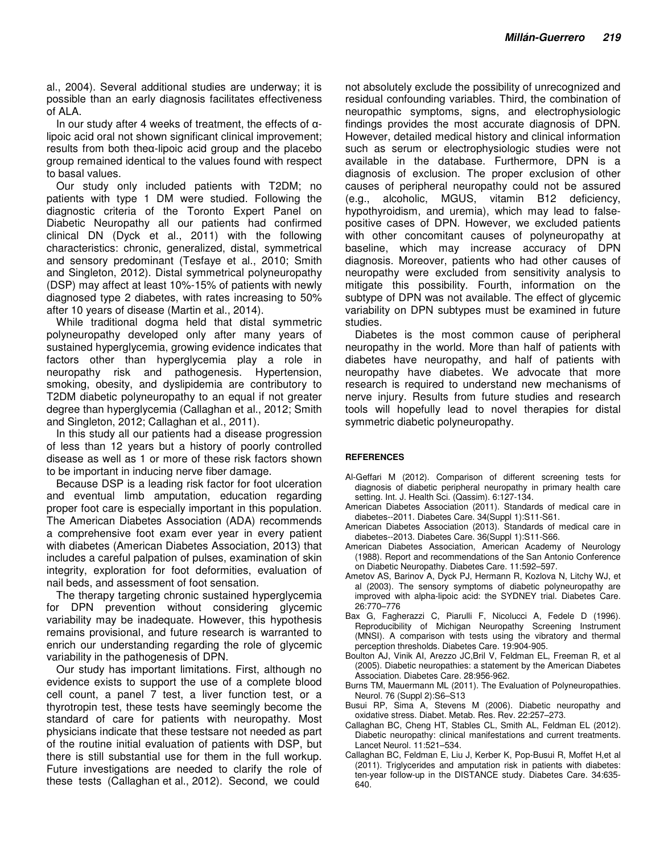al., 2004). Several additional studies are underway; it is possible than an early diagnosis facilitates effectiveness of ALA.

In our study after 4 weeks of treatment, the effects of  $\alpha$ lipoic acid oral not shown significant clinical improvement; results from both theα-lipoic acid group and the placebo group remained identical to the values found with respect to basal values.

Our study only included patients with T2DM; no patients with type 1 DM were studied. Following the diagnostic criteria of the Toronto Expert Panel on Diabetic Neuropathy all our patients had confirmed clinical DN (Dyck et al., 2011) with the following characteristics: chronic, generalized, distal, symmetrical and sensory predominant (Tesfaye et al., 2010; Smith and Singleton, 2012). Distal symmetrical polyneuropathy (DSP) may affect at least 10%-15% of patients with newly diagnosed type 2 diabetes, with rates increasing to 50% after 10 years of disease (Martin et al., 2014).

While traditional dogma held that distal symmetric polyneuropathy developed only after many years of sustained hyperglycemia, growing evidence indicates that factors other than hyperglycemia play a role in neuropathy risk and pathogenesis. Hypertension, smoking, obesity, and dyslipidemia are contributory to T2DM diabetic polyneuropathy to an equal if not greater degree than hyperglycemia (Callaghan et al., 2012; Smith and Singleton, 2012; Callaghan et al., 2011).

In this study all our patients had a disease progression of less than 12 years but a history of poorly controlled disease as well as 1 or more of these risk factors shown to be important in inducing nerve fiber damage.

Because DSP is a leading risk factor for foot ulceration and eventual limb amputation, education regarding proper foot care is especially important in this population. The American Diabetes Association (ADA) recommends a comprehensive foot exam ever year in every patient with diabetes (American Diabetes Association, 2013) that includes a careful palpation of pulses, examination of skin integrity, exploration for foot deformities, evaluation of nail beds, and assessment of foot sensation.

The therapy targeting chronic sustained hyperglycemia for DPN prevention without considering glycemic variability may be inadequate. However, this hypothesis remains provisional, and future research is warranted to enrich our understanding regarding the role of glycemic variability in the pathogenesis of DPN.

Our study has important limitations. First, although no evidence exists to support the use of a complete blood cell count, a panel 7 test, a liver function test, or a thyrotropin test, these tests have seemingly become the standard of care for patients with neuropathy. Most physicians indicate that these testsare not needed as part of the routine initial evaluation of patients with DSP, but there is still substantial use for them in the full workup. Future investigations are needed to clarify the role of these tests (Callaghan et al., 2012). Second, we could

not absolutely exclude the possibility of unrecognized and residual confounding variables. Third, the combination of neuropathic symptoms, signs, and electrophysiologic findings provides the most accurate diagnosis of DPN. However, detailed medical history and clinical information such as serum or electrophysiologic studies were not available in the database. Furthermore, DPN is a diagnosis of exclusion. The proper exclusion of other causes of peripheral neuropathy could not be assured (e.g., alcoholic, MGUS, vitamin B12 deficiency, hypothyroidism, and uremia), which may lead to falsepositive cases of DPN. However, we excluded patients with other concomitant causes of polyneuropathy at baseline, which may increase accuracy of DPN diagnosis. Moreover, patients who had other causes of neuropathy were excluded from sensitivity analysis to mitigate this possibility. Fourth, information on the subtype of DPN was not available. The effect of glycemic variability on DPN subtypes must be examined in future studies.

Diabetes is the most common cause of peripheral neuropathy in the world. More than half of patients with diabetes have neuropathy, and half of patients with neuropathy have diabetes. We advocate that more research is required to understand new mechanisms of nerve injury. Results from future studies and research tools will hopefully lead to novel therapies for distal symmetric diabetic polyneuropathy.

#### **REFERENCES**

- Al-Geffari M (2012). Comparison of different screening tests for diagnosis of diabetic peripheral neuropathy in primary health care setting. Int. J. Health Sci. (Qassim). 6:127-134.
- American Diabetes Association (2011). Standards of medical care in diabetes--2011. Diabetes Care. 34(Suppl 1):S11-S61.
- American Diabetes Association (2013). Standards of medical care in diabetes--2013. Diabetes Care. 36(Suppl 1):S11-S66.
- American Diabetes Association, American Academy of Neurology (1988). Report and recommendations of the San Antonio Conference on Diabetic Neuropathy. Diabetes Care. 11:592–597.
- Ametov AS, Barinov A, Dyck PJ, Hermann R, Kozlova N, Litchy WJ, et al (2003). The sensory symptoms of diabetic polyneuropathy are improved with alpha-lipoic acid: the SYDNEY trial. Diabetes Care. 26:770–776
- Bax G, Fagherazzi C, Piarulli F, Nicolucci A, Fedele D (1996). Reproducibility of Michigan Neuropathy Screening Instrument (MNSI). A comparison with tests using the vibratory and thermal perception thresholds. Diabetes Care. 19:904-905.
- Boulton AJ, Vinik AI, Arezzo JC,Bril V, Feldman EL, Freeman R, et al (2005). Diabetic neuropathies: a statement by the American Diabetes Association. Diabetes Care. 28:956-962.
- Burns TM, Mauermann ML (2011). The Evaluation of Polyneuropathies. Neurol. 76 (Suppl 2):S6–S13
- Busui RP, Sima A, Stevens M (2006). Diabetic neuropathy and oxidative stress. Diabet. Metab. Res. Rev. 22:257–273.
- Callaghan BC, Cheng HT, Stables CL, Smith AL, Feldman EL (2012). Diabetic neuropathy: clinical manifestations and current treatments. Lancet Neurol. 11:521–534.
- Callaghan BC, Feldman E, Liu J, Kerber K, Pop-Busui R, Moffet H,et al (2011). Triglycerides and amputation risk in patients with diabetes: ten-year follow-up in the DISTANCE study. Diabetes Care. 34:635- 640.